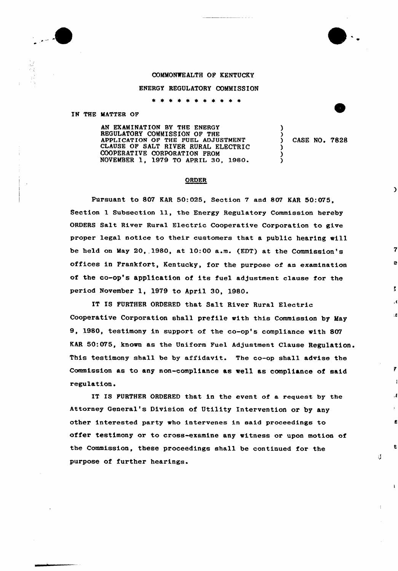

## COMMONWEALTH OF KENTUCKY

## ENERGY REGULATORY COMMISSION

\* \* \* \* \* \* \* \* \* \* \*

IN THE MATTER OF

AN EXAMINATION BY THE ENERGY REGULATORY COMMISSION OP THE APPLICATION OF THE FUEL ADJUSTMENT CLAUSE OF SALT RIVER RURAL ELECTRIC COOPERATIVE CORPORATION PROM NOVEMBER 1, 1979 TO APRIL 30, 1980.

) CASE NO. 7828

)

)

 $\lambda$ )  $\lambda$ 

## ORDER

Pursuant to 807 KAR 50:025, Section 7 and 807 KAR 50:075, Section <sup>1</sup> Subsection ll, the Energy Regulatory Commission hereby ORDERS Salt River Rural Electric Cooperative Corporation to give proper legal notice to their customers that a public hearing will be held on May 20, 1980, at 10:00 a.m. (EDT) at the Commission's offices in Frankfort, Kentucky, for the purpose of an examination of the co-op's application of its fuel adjustment clause for the period November 1, 1979 to April 30, 1980.

IT IS FURTHER ORDERED that Salt River Rural Electric Cooperative Corporation shall prefile with this Commission by May 9, 1980, testimony in support of the co-op's compliance with 807 KAR 60:075, known as the Uniform Fuel Adjustment Clause Regulation. This testimony shall be by affidavit. The co-op shall advise the Commission as to any non-compliance as wel1 as compliance of said regulation.

IT IS FURTHER ORDERED that in the event of a request by the Attorney General's Division of Utility Intervention or by any other interested party who intervenes in said proceedings to offer testimony or to cross-examine any witness or upon motion of the Commission, these proceedings shall be continued for the purpose of further hearings.

41

t

 $\lambda$ 

K

÷.

Ÿ.